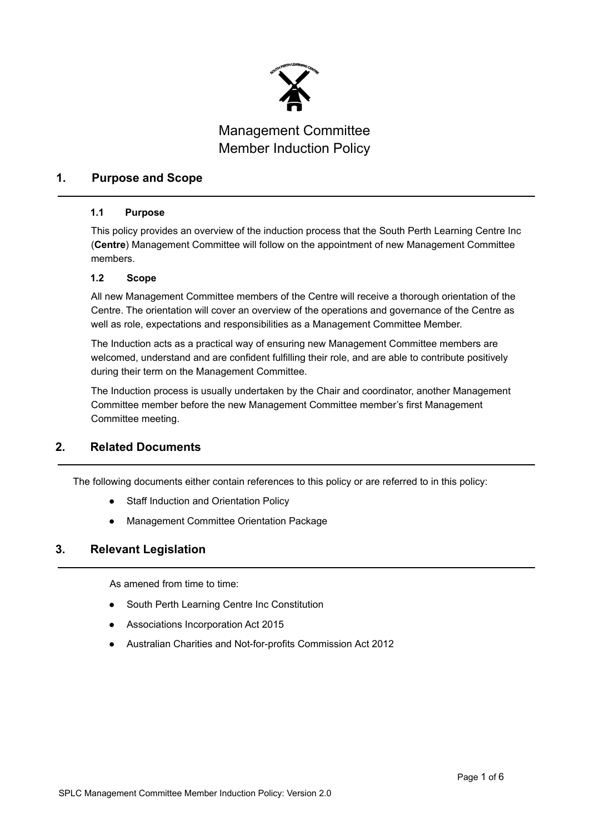

### **1. Purpose and Scope**

### **1.1 Purpose**

This policy provides an overview of the induction process that the South Perth Learning Centre Inc (**Centre**) Management Committee will follow on the appointment of new Management Committee members.

### **1.2 Scope**

All new Management Committee members of the Centre will receive a thorough orientation of the Centre. The orientation will cover an overview of the operations and governance of the Centre as well as role, expectations and responsibilities as a Management Committee Member.

The Induction acts as a practical way of ensuring new Management Committee members are welcomed, understand and are confident fulfilling their role, and are able to contribute positively during their term on the Management Committee.

The Induction process is usually undertaken by the Chair and coordinator, another Management Committee member before the new Management Committee member's first Management Committee meeting.

## **2. Related Documents**

The following documents either contain references to this policy or are referred to in this policy:

- Staff Induction and Orientation Policy
- **Management Committee Orientation Package**

## **3. Relevant Legislation**

As amened from time to time:

- South Perth Learning Centre Inc Constitution
- Associations Incorporation Act 2015
- Australian Charities and Not-for-profits Commission Act 2012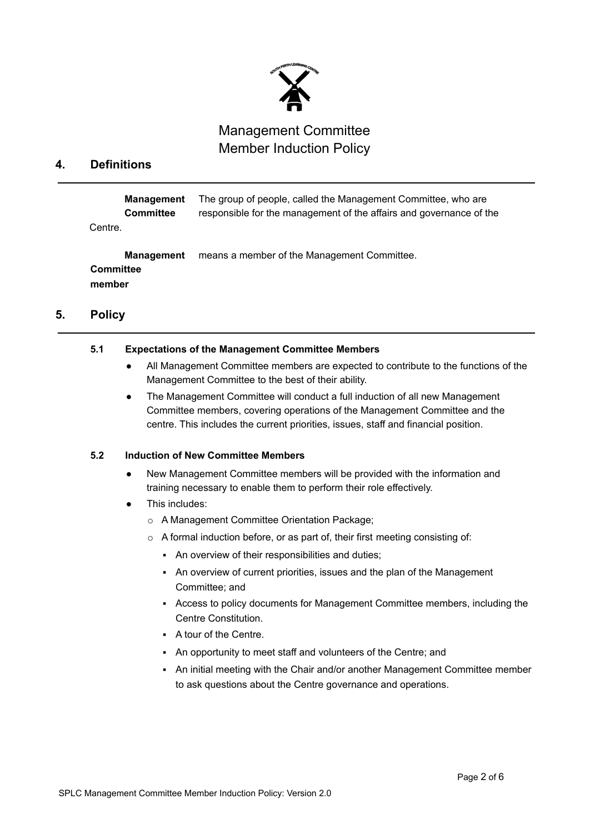

### **4. Definitions**

**Management** The group of people, called the Management Committee, who are **Committee** responsible for the management of the affairs and governance of the Centre.

**Management** means a member of the Management Committee. **Committee member**

### **5. Policy**

#### **5.1 Expectations of the Management Committee Members**

- All Management Committee members are expected to contribute to the functions of the Management Committee to the best of their ability.
- The Management Committee will conduct a full induction of all new Management Committee members, covering operations of the Management Committee and the centre. This includes the current priorities, issues, staff and financial position.

#### **5.2 Induction of New Committee Members**

- New Management Committee members will be provided with the information and training necessary to enable them to perform their role effectively.
- This includes:
	- o A Management Committee Orientation Package;
	- o A formal induction before, or as part of, their first meeting consisting of:
		- An overview of their responsibilities and duties;
		- An overview of current priorities, issues and the plan of the Management Committee; and
		- Access to policy documents for Management Committee members, including the Centre Constitution.
		- A tour of the Centre.
		- An opportunity to meet staff and volunteers of the Centre; and
		- An initial meeting with the Chair and/or another Management Committee member to ask questions about the Centre governance and operations.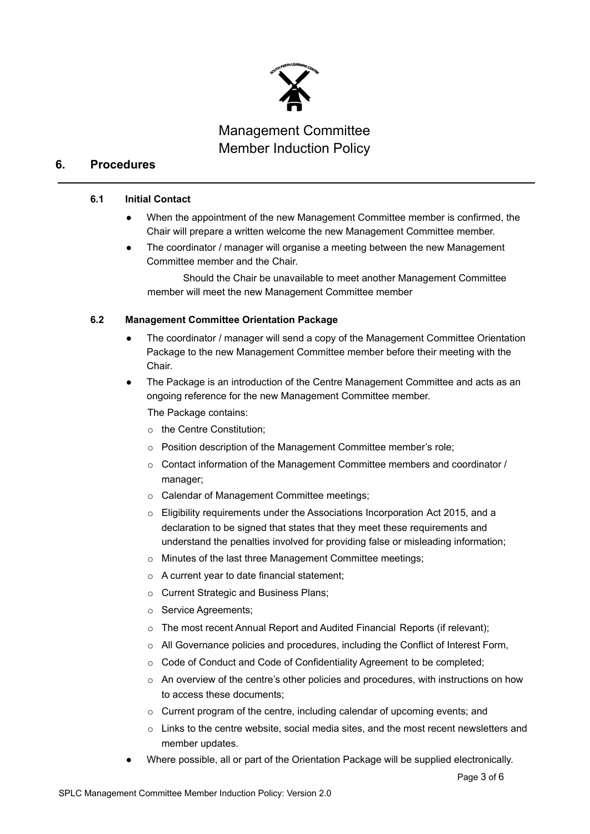

## **6. Procedures**

#### **6.1 Initial Contact**

- When the appointment of the new Management Committee member is confirmed, the Chair will prepare a written welcome the new Management Committee member.
- The coordinator / manager will organise a meeting between the new Management Committee member and the Chair.

Should the Chair be unavailable to meet another Management Committee member will meet the new Management Committee member

### **6.2 Management Committee Orientation Package**

- The coordinator / manager will send a copy of the Management Committee Orientation Package to the new Management Committee member before their meeting with the Chair.
- The Package is an introduction of the Centre Management Committee and acts as an ongoing reference for the new Management Committee member. The Package contains:
	- o the Centre Constitution;
	- o Position description of the Management Committee member's role;
	- $\circ$  Contact information of the Management Committee members and coordinator / manager;
	- o Calendar of Management Committee meetings;
	- o Eligibility requirements under the Associations Incorporation Act 2015, and a declaration to be signed that states that they meet these requirements and understand the penalties involved for providing false or misleading information;
	- o Minutes of the last three Management Committee meetings;
	- o A current year to date financial statement;
	- o Current Strategic and Business Plans;
	- o Service Agreements;
	- o The most recent Annual Report and Audited Financial Reports (if relevant);
	- o All Governance policies and procedures, including the Conflict of Interest Form,
	- o Code of Conduct and Code of Confidentiality Agreement to be completed;
	- $\circ$  An overview of the centre's other policies and procedures, with instructions on how to access these documents;
	- o Current program of the centre, including calendar of upcoming events; and
	- $\circ$  Links to the centre website, social media sites, and the most recent newsletters and member updates.
- Where possible, all or part of the Orientation Package will be supplied electronically.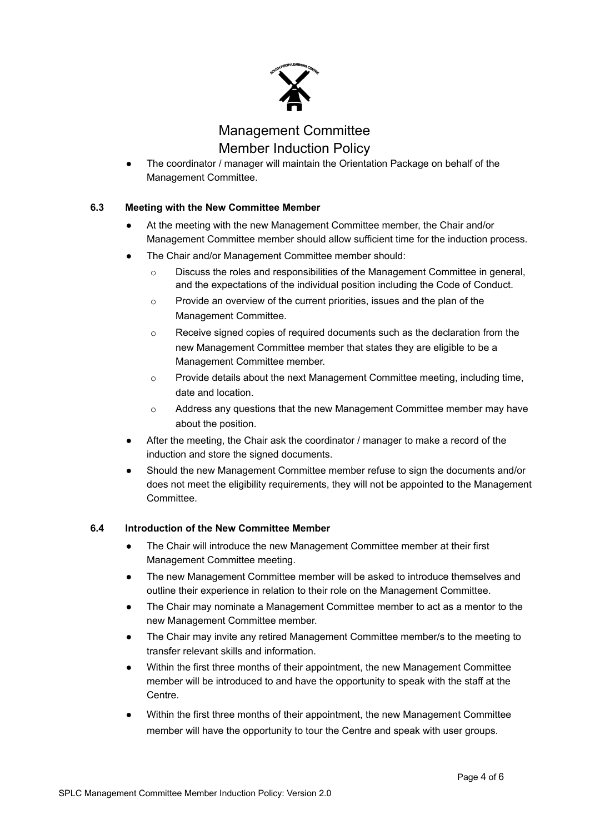

The coordinator / manager will maintain the Orientation Package on behalf of the Management Committee.

### **6.3 Meeting with the New Committee Member**

- At the meeting with the new Management Committee member, the Chair and/or Management Committee member should allow sufficient time for the induction process.
- The Chair and/or Management Committee member should:
	- $\circ$  Discuss the roles and responsibilities of the Management Committee in general, and the expectations of the individual position including the Code of Conduct.
	- o Provide an overview of the current priorities, issues and the plan of the Management Committee.
	- $\circ$  Receive signed copies of required documents such as the declaration from the new Management Committee member that states they are eligible to be a Management Committee member.
	- $\circ$  Provide details about the next Management Committee meeting, including time, date and location.
	- o Address any questions that the new Management Committee member may have about the position.
- After the meeting, the Chair ask the coordinator / manager to make a record of the induction and store the signed documents.
- Should the new Management Committee member refuse to sign the documents and/or does not meet the eligibility requirements, they will not be appointed to the Management **Committee.**

#### **6.4 Introduction of the New Committee Member**

- The Chair will introduce the new Management Committee member at their first Management Committee meeting.
- The new Management Committee member will be asked to introduce themselves and outline their experience in relation to their role on the Management Committee.
- The Chair may nominate a Management Committee member to act as a mentor to the new Management Committee member.
- The Chair may invite any retired Management Committee member/s to the meeting to transfer relevant skills and information.
- Within the first three months of their appointment, the new Management Committee member will be introduced to and have the opportunity to speak with the staff at the Centre.
- Within the first three months of their appointment, the new Management Committee member will have the opportunity to tour the Centre and speak with user groups.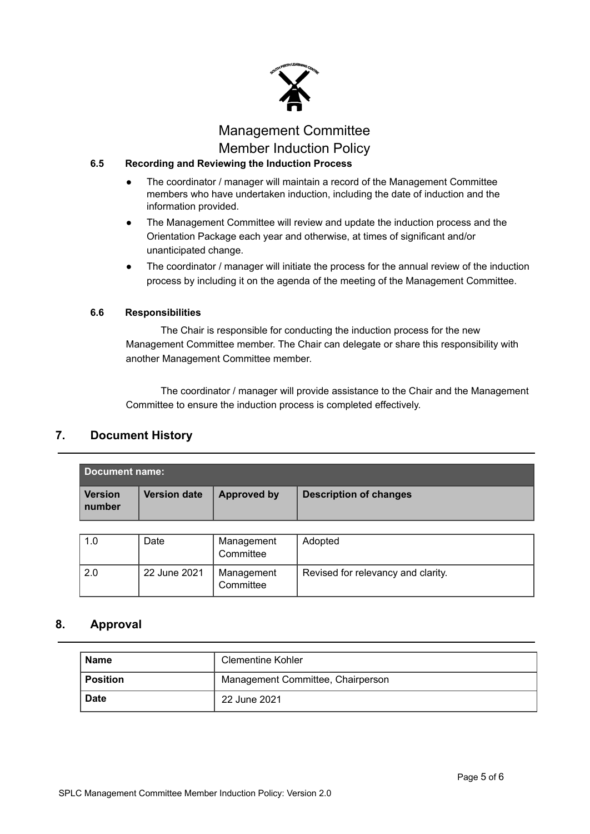

## **6.5 Recording and Reviewing the Induction Process**

- The coordinator / manager will maintain a record of the Management Committee members who have undertaken induction, including the date of induction and the information provided.
- The Management Committee will review and update the induction process and the Orientation Package each year and otherwise, at times of significant and/or unanticipated change.
- The coordinator / manager will initiate the process for the annual review of the induction process by including it on the agenda of the meeting of the Management Committee.

### **6.6 Responsibilities**

The Chair is responsible for conducting the induction process for the new Management Committee member. The Chair can delegate or share this responsibility with another Management Committee member.

The coordinator / manager will provide assistance to the Chair and the Management Committee to ensure the induction process is completed effectively.

## **7. Document History**

| Document name:           |                     |                    |                               |  |  |
|--------------------------|---------------------|--------------------|-------------------------------|--|--|
| <b>Version</b><br>number | <b>Version date</b> | <b>Approved by</b> | <b>Description of changes</b> |  |  |

| 1.0 | Date         | Management<br>Committee | Adopted                            |
|-----|--------------|-------------------------|------------------------------------|
| 2.0 | 22 June 2021 | Management<br>Committee | Revised for relevancy and clarity. |

### **8. Approval**

| <b>Name</b>     | <b>Clementine Kohler</b>          |
|-----------------|-----------------------------------|
| <b>Position</b> | Management Committee, Chairperson |
| <b>Date</b>     | 22 June 2021                      |